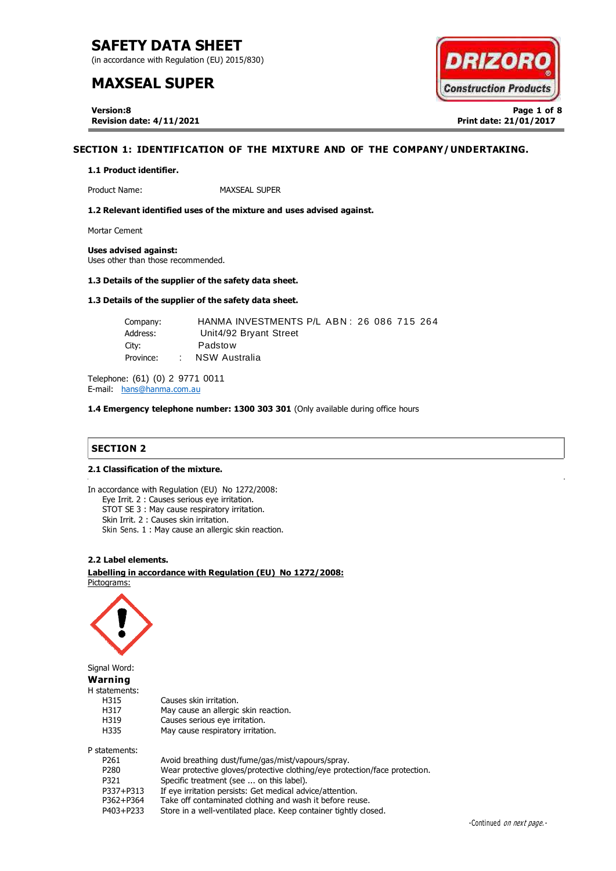(in accordance with Regulation (EU) 2015/830)

# **MAXSEAL SUPER**

**Version:8 Page 1 of 8 Revision date: 4/11/2021 Print date: 21/01/2017**

# **SECTION 1: IDENTIFICATION OF THE MIXTURE AND OF THE COMPANY/UNDERTAKING.**

#### **1.1 Product identifier.**

Product Name: MAXSEAL SUPER

**1.2 Relevant identified uses of the mixture and uses advised against.**

Mortar Cement

**Uses advised against:** Uses other than those recommended.

#### **1.3 Details of the supplier of the safety data sheet.**

# **1.3 Details of the supplier of the safety data sheet.**

| Company:  | HANMA INVESTMENTS P/L ABN: 26 086 715 264 |  |
|-----------|-------------------------------------------|--|
| Address:  | Unit4/92 Bryant Street                    |  |
| Citv:     | Padstow                                   |  |
| Province: | NSW Australia                             |  |

Telephone: (61) (0) 2 9771 0011 E-mail: [hans@hanma.com.au](mailto:hans@hanma.com.au)

**1.4 Emergency telephone number: 1300 303 301** (Only available during office hours

# **SECTION 2**

#### **2.1 Classification of the mixture. SECTION 2: HAZARDS IDENTIFICATION.**

In accordance with Regulation (EU) No 1272/2008: Eye Irrit. 2 : Causes serious eye irritation. STOT SE 3 : May cause respiratory irritation. Skin Irrit. 2 : Causes skin irritation. Skin Sens. 1 : May cause an allergic skin reaction.

# **2.2 Label elements.**

. . **Labelling in accordance with Regulation (EU) No 1272/2008:** Pictograms:



Signal Word: **Warning**

H statements:

| H315 | Causes skin irritation.              |
|------|--------------------------------------|
| H317 | May cause an allergic skin reaction. |
| H319 | Causes serious eye irritation.       |
| H335 | May cause respiratory irritation.    |
|      |                                      |

P statements:

| P261      | Avoid breathing dust/fume/gas/mist/vapours/spray.                          |
|-----------|----------------------------------------------------------------------------|
| P280      | Wear protective gloves/protective clothing/eye protection/face protection. |
| P321      | Specific treatment (see  on this label).                                   |
| P337+P313 | If eye irritation persists: Get medical advice/attention.                  |
| P362+P364 | Take off contaminated clothing and wash it before reuse.                   |
| P403+P233 | Store in a well-ventilated place. Keep container tightly closed.           |

**DRIZOR Construction Products**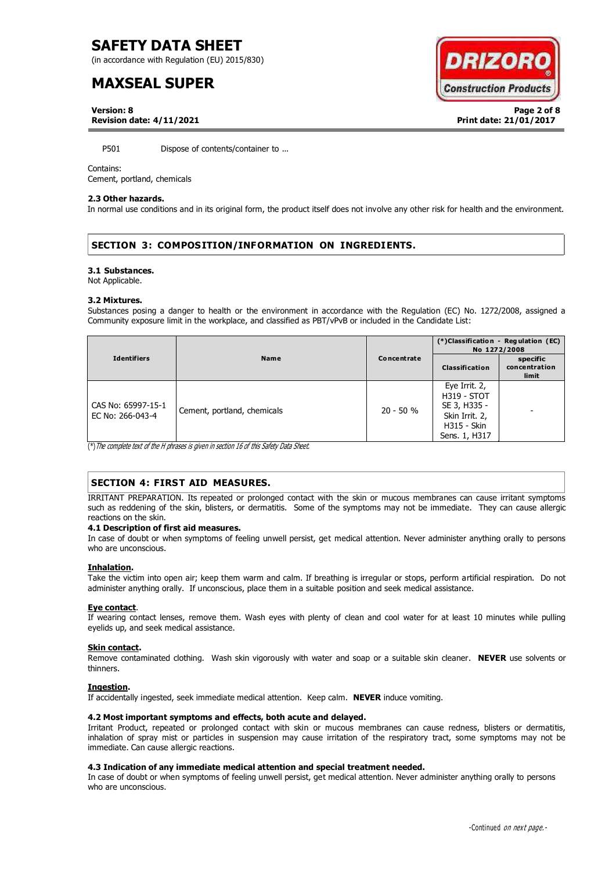(in accordance with Regulation (EU) 2015/830)

# **MAXSEAL SUPER**

**DRIZOR Construction Products** 

**Version: 8 Page 2 of 8 Revision date: 4/11/2021 Print date: 21/01/2017**

P501 Dispose of contents/container to ...

### Contains:

Cement, portland, chemicals

### **2.3 Other hazards.**

In normal use conditions and in its original form, the product itself does not involve any other risk for health and the environment.

# **SECTION 3: COMPOSITION/INFORMATION ON INGREDIENTS.**

#### **3.1 Substances.**

Not Applicable.

#### **3.2 Mixtures.**

Substances posing a danger to health or the environment in accordance with the Regulation (EC) No. 1272/2008, assigned a Community exposure limit in the workplace, and classified as PBT/vPvB or included in the Candidate List:

|                                        |                             |             | (*)Classification - Regulation (EC)<br>No 1272/2008                                                   |                                    |
|----------------------------------------|-----------------------------|-------------|-------------------------------------------------------------------------------------------------------|------------------------------------|
| <b>Identifiers</b>                     | <b>Name</b>                 | Concentrate | <b>Classification</b>                                                                                 | specific<br>concentration<br>limit |
| CAS No: 65997-15-1<br>EC No: 266-043-4 | Cement, portland, chemicals | $20 - 50 %$ | Eye Irrit. 2,<br><b>H319 - STOT</b><br>SE 3, H335 -<br>Skin Irrit. 2,<br>H315 - Skin<br>Sens. 1, H317 |                                    |

 $\overline{(*)}$  The complete text of the H phrases is given in section 16 of this Safety Data Sheet.

# **SECTION 4: FIRST AID MEASURES.**

IRRITANT PREPARATION. Its repeated or prolonged contact with the skin or mucous membranes can cause irritant symptoms such as reddening of the skin, blisters, or dermatitis. Some of the symptoms may not be immediate. They can cause allergic reactions on the skin.

### **4.1 Description of first aid measures.**

In case of doubt or when symptoms of feeling unwell persist, get medical attention. Never administer anything orally to persons who are unconscious.

### **Inhalation.**

Take the victim into open air; keep them warm and calm. If breathing is irregular or stops, perform artificial respiration. Do not administer anything orally. If unconscious, place them in a suitable position and seek medical assistance.

### **Eye contact**.

If wearing contact lenses, remove them. Wash eyes with plenty of clean and cool water for at least 10 minutes while pulling eyelids up, and seek medical assistance.

### **Skin contact.**

Remove contaminated clothing. Wash skin vigorously with water and soap or a suitable skin cleaner. **NEVER** use solvents or thinners.

### **Ingestion.**

If accidentally ingested, seek immediate medical attention. Keep calm. **NEVER** induce vomiting.

### **4.2 Most important symptoms and effects, both acute and delayed.**

Irritant Product, repeated or prolonged contact with skin or mucous membranes can cause redness, blisters or dermatitis, inhalation of spray mist or particles in suspension may cause irritation of the respiratory tract, some symptoms may not be immediate. Can cause allergic reactions.

### **4.3 Indication of any immediate medical attention and special treatment needed.**

In case of doubt or when symptoms of feeling unwell persist, get medical attention. Never administer anything orally to persons who are unconscious.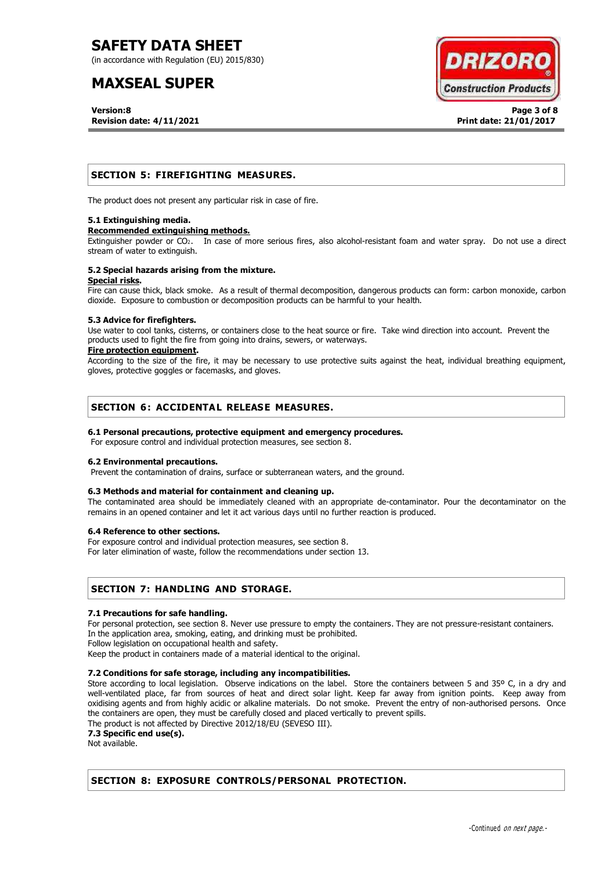(in accordance with Regulation (EU) 2015/830)

# **MAXSEAL SUPER**

**Version:8 Page 3 of 8 Revision date: 4/11/2021 Print date: 21/01/2017**



# **SECTION 5: FIREFIGHTING MEASURES.**

The product does not present any particular risk in case of fire.

### **5.1 Extinguishing media.**

### **Recommended extinguishing methods.**

Extinguisher powder or CO2. In case of more serious fires, also alcohol-resistant foam and water spray. Do not use a direct stream of water to extinguish.

#### **5.2 Special hazards arising from the mixture. Special risks.**

Fire can cause thick, black smoke. As a result of thermal decomposition, dangerous products can form: carbon monoxide, carbon dioxide. Exposure to combustion or decomposition products can be harmful to your health.

### **5.3 Advice for firefighters.**

Use water to cool tanks, cisterns, or containers close to the heat source or fire. Take wind direction into account. Prevent the products used to fight the fire from going into drains, sewers, or waterways.

### **Fire protection equipment.**

According to the size of the fire, it may be necessary to use protective suits against the heat, individual breathing equipment, gloves, protective goggles or facemasks, and gloves.

# **SECTION 6: ACCIDENTAL RELEASE MEASURES.**

# **6.1 Personal precautions, protective equipment and emergency procedures.**

For exposure control and individual protection measures, see section 8.

### **6.2 Environmental precautions.**

Prevent the contamination of drains, surface or subterranean waters, and the ground.

# **6.3 Methods and material for containment and cleaning up.**

The contaminated area should be immediately cleaned with an appropriate de-contaminator. Pour the decontaminator on the remains in an opened container and let it act various days until no further reaction is produced.

### **6.4 Reference to other sections.**

For exposure control and individual protection measures, see section 8.

For later elimination of waste, follow the recommendations under section 13.

# **SECTION 7: HANDLING AND STORAGE.**

# **7.1 Precautions for safe handling.**

For personal protection, see section 8. Never use pressure to empty the containers. They are not pressure-resistant containers. In the application area, smoking, eating, and drinking must be prohibited.

Follow legislation on occupational health and safety.

Keep the product in containers made of a material identical to the original.

# **7.2 Conditions for safe storage, including any incompatibilities.**

Store according to local legislation. Observe indications on the label. Store the containers between 5 and 35º C, in a dry and well-ventilated place, far from sources of heat and direct solar light. Keep far away from ignition points. Keep away from oxidising agents and from highly acidic or alkaline materials. Do not smoke. Prevent the entry of non-authorised persons. Once the containers are open, they must be carefully closed and placed vertically to prevent spills.

The product is not affected by Directive 2012/18/EU (SEVESO III).

**7.3 Specific end use(s).**

Not available.

# **SECTION 8: EXPOSURE CONTROLS/PERSONAL PROTECTION.**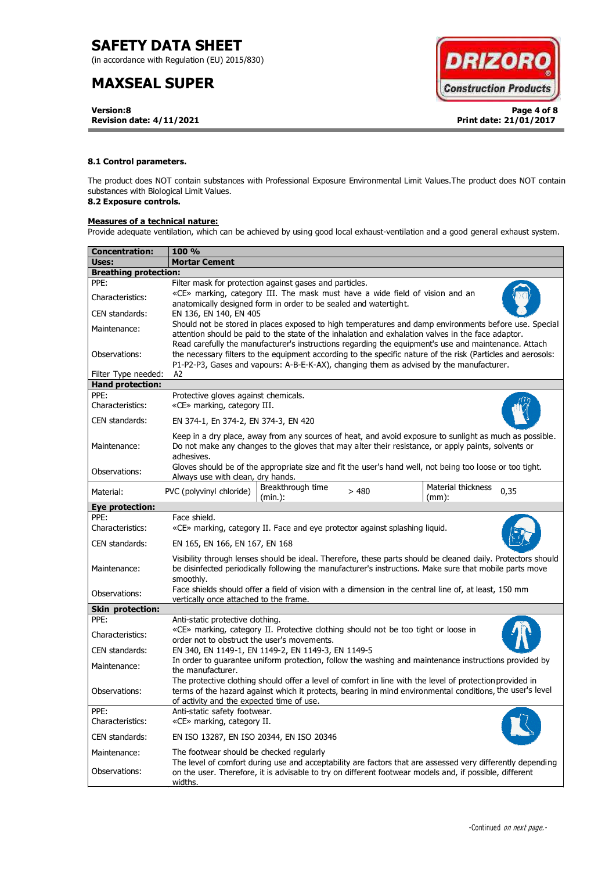(in accordance with Regulation (EU) 2015/830)

# **MAXSEAL SUPER**

**Version:8 Page 4 of 8 Revision date: 4/11/2021 Print date: 21/01/2017**



# **8.1 Control parameters.**

The product does NOT contain substances with Professional Exposure Environmental Limit Values.The product does NOT contain substances with Biological Limit Values.

# **8.2 Exposure controls.**

# **Measures of a technical nature:**

Provide adequate ventilation, which can be achieved by using good local exhaust-ventilation and a good general exhaust system.

| Concentration:                     | <b>100 %</b>                                                                                                                                                                                                                                                                                                        |  |  |  |  |  |
|------------------------------------|---------------------------------------------------------------------------------------------------------------------------------------------------------------------------------------------------------------------------------------------------------------------------------------------------------------------|--|--|--|--|--|
| Uses:                              | <b>Mortar Cement</b>                                                                                                                                                                                                                                                                                                |  |  |  |  |  |
| <b>Breathing protection:</b>       |                                                                                                                                                                                                                                                                                                                     |  |  |  |  |  |
| PPE:                               | Filter mask for protection against gases and particles.                                                                                                                                                                                                                                                             |  |  |  |  |  |
| Characteristics:                   | «CE» marking, category III. The mask must have a wide field of vision and an<br>anatomically designed form in order to be sealed and watertight.                                                                                                                                                                    |  |  |  |  |  |
| CEN standards:                     | EN 136, EN 140, EN 405                                                                                                                                                                                                                                                                                              |  |  |  |  |  |
| Maintenance:                       | Should not be stored in places exposed to high temperatures and damp environments before use. Special<br>attention should be paid to the state of the inhalation and exhalation valves in the face adaptor.<br>Read carefully the manufacturer's instructions regarding the equipment's use and maintenance. Attach |  |  |  |  |  |
| Observations:                      | the necessary filters to the equipment according to the specific nature of the risk (Particles and aerosols:<br>P1-P2-P3, Gases and vapours: A-B-E-K-AX), changing them as advised by the manufacturer.                                                                                                             |  |  |  |  |  |
| Filter Type needed:                | A2                                                                                                                                                                                                                                                                                                                  |  |  |  |  |  |
| <b>Hand protection:</b>            |                                                                                                                                                                                                                                                                                                                     |  |  |  |  |  |
| PPE:<br>Characteristics:           | Protective gloves against chemicals.<br>«CE» marking, category III.                                                                                                                                                                                                                                                 |  |  |  |  |  |
| CEN standards:                     | EN 374-1, En 374-2, EN 374-3, EN 420                                                                                                                                                                                                                                                                                |  |  |  |  |  |
| Maintenance:                       | Keep in a dry place, away from any sources of heat, and avoid exposure to sunlight as much as possible.<br>Do not make any changes to the gloves that may alter their resistance, or apply paints, solvents or<br>adhesives.                                                                                        |  |  |  |  |  |
| Observations:                      | Gloves should be of the appropriate size and fit the user's hand well, not being too loose or too tight.<br>Always use with clean, dry hands.                                                                                                                                                                       |  |  |  |  |  |
| Material:                          | Breakthrough time<br>Material thickness<br>PVC (polyvinyl chloride)<br>>480<br>0,35<br>(min.):<br>$(mm)$ :                                                                                                                                                                                                          |  |  |  |  |  |
| <b>Eye protection:</b>             |                                                                                                                                                                                                                                                                                                                     |  |  |  |  |  |
| PPE:                               | Face shield.                                                                                                                                                                                                                                                                                                        |  |  |  |  |  |
| Characteristics:<br>CEN standards: | «CE» marking, category II. Face and eye protector against splashing liquid.                                                                                                                                                                                                                                         |  |  |  |  |  |
|                                    | EN 165, EN 166, EN 167, EN 168                                                                                                                                                                                                                                                                                      |  |  |  |  |  |
| Maintenance:                       | Visibility through lenses should be ideal. Therefore, these parts should be cleaned daily. Protectors should<br>be disinfected periodically following the manufacturer's instructions. Make sure that mobile parts move<br>smoothly.                                                                                |  |  |  |  |  |
| Observations:                      | Face shields should offer a field of vision with a dimension in the central line of, at least, 150 mm<br>vertically once attached to the frame.                                                                                                                                                                     |  |  |  |  |  |
| <b>Skin protection:</b>            |                                                                                                                                                                                                                                                                                                                     |  |  |  |  |  |
| PPE:                               | Anti-static protective clothing.                                                                                                                                                                                                                                                                                    |  |  |  |  |  |
| Characteristics:                   | «CE» marking, category II. Protective clothing should not be too tight or loose in<br>order not to obstruct the user's movements.                                                                                                                                                                                   |  |  |  |  |  |
| CEN standards:                     | EN 340, EN 1149-1, EN 1149-2, EN 1149-3, EN 1149-5                                                                                                                                                                                                                                                                  |  |  |  |  |  |
| Maintenance:                       | In order to guarantee uniform protection, follow the washing and maintenance instructions provided by<br>the manufacturer.                                                                                                                                                                                          |  |  |  |  |  |
| Observations:                      | The protective clothing should offer a level of comfort in line with the level of protection provided in<br>terms of the hazard against which it protects, bearing in mind environmental conditions, the user's level<br>of activity and the expected time of use.                                                  |  |  |  |  |  |
| PPE:<br>Characteristics:           | Anti-static safety footwear.<br>«CE» marking, category II.                                                                                                                                                                                                                                                          |  |  |  |  |  |
| CEN standards:                     | EN ISO 13287, EN ISO 20344, EN ISO 20346                                                                                                                                                                                                                                                                            |  |  |  |  |  |
| Maintenance:                       | The footwear should be checked regularly                                                                                                                                                                                                                                                                            |  |  |  |  |  |
| Observations:                      | The level of comfort during use and acceptability are factors that are assessed very differently depending<br>on the user. Therefore, it is advisable to try on different footwear models and, if possible, different<br>widths.                                                                                    |  |  |  |  |  |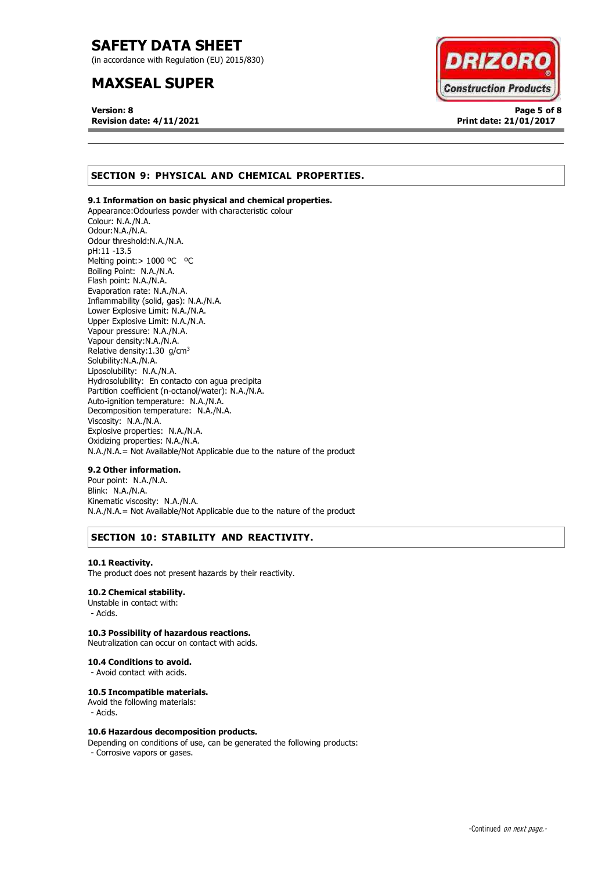(in accordance with Regulation (EU) 2015/830)

# **MAXSEAL SUPER**

**Version: 8 Page 5 of 8 Revision date: 4/11/2021 Print date: 21/01/2017**



# **SECTION 9: PHYSICAL AND CHEMICAL PROPERTIES.**

# **9.1 Information on basic physical and chemical properties.**

Appearance:Odourless powder with characteristic colour Colour: N.A./N.A. Odour:N.A./N.A. Odour threshold:N.A./N.A. pH:11 -13.5 Melting point: > 1000 °C °C Boiling Point: N.A./N.A. Flash point: N.A./N.A. Evaporation rate: N.A./N.A. Inflammability (solid, gas): N.A./N.A. Lower Explosive Limit: N.A./N.A. Upper Explosive Limit: N.A./N.A. Vapour pressure: N.A./N.A. Vapour density:N.A./N.A. Relative density:1.30 g/cm<sup>3</sup> Solubility:N.A./N.A. Liposolubility: N.A./N.A. Hydrosolubility: En contacto con agua precipita Partition coefficient (n-octanol/water): N.A./N.A. Auto-ignition temperature: N.A./N.A. Decomposition temperature: N.A./N.A. Viscosity: N.A./N.A. Explosive properties: N.A./N.A. Oxidizing properties: N.A./N.A. N.A./N.A.= Not Available/Not Applicable due to the nature of the product

### **9.2 Other information.**

Pour point: N.A./N.A. Blink: N.A./N.A. Kinematic viscosity: N.A./N.A. N.A./N.A.= Not Available/Not Applicable due to the nature of the product

# **SECTION 10: STABILITY AND REACTIVITY.**

#### **10.1 Reactivity.**

The product does not present hazards by their reactivity.

# **10.2 Chemical stability.**

Unstable in contact with: - Acids.

## **10.3 Possibility of hazardous reactions.**

Neutralization can occur on contact with acids.

### **10.4 Conditions to avoid.**

- Avoid contact with acids.

### **10.5 Incompatible materials.**

Avoid the following materials: - Acids.

### **10.6 Hazardous decomposition products.**

Depending on conditions of use, can be generated the following products:

- Corrosive vapors or gases.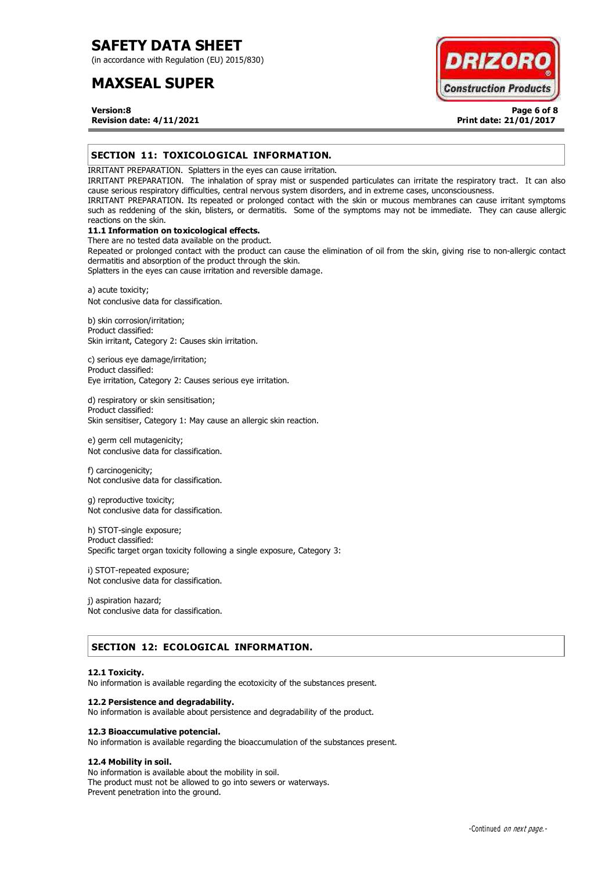(in accordance with Regulation (EU) 2015/830)

# **MAXSEAL SUPER**



**Version:8 Page 6 of 8 Revision date: 4/11/2021 Print date: 21/01/2017**

# **SECTION 11: TOXICOLOGICAL INFORMATION.**

IRRITANT PREPARATION. Splatters in the eyes can cause irritation.

IRRITANT PREPARATION. The inhalation of spray mist or suspended particulates can irritate the respiratory tract. It can also cause serious respiratory difficulties, central nervous system disorders, and in extreme cases, unconsciousness.

IRRITANT PREPARATION. Its repeated or prolonged contact with the skin or mucous membranes can cause irritant symptoms such as reddening of the skin, blisters, or dermatitis. Some of the symptoms may not be immediate. They can cause allergic reactions on the skin.

# **11.1 Information on toxicological effects.**

There are no tested data available on the product.

Repeated or prolonged contact with the product can cause the elimination of oil from the skin, giving rise to non-allergic contact dermatitis and absorption of the product through the skin.

Splatters in the eyes can cause irritation and reversible damage.

a) acute toxicity; Not conclusive data for classification.

b) skin corrosion/irritation; Product classified: Skin irritant, Category 2: Causes skin irritation.

c) serious eye damage/irritation; Product classified: Eye irritation, Category 2: Causes serious eye irritation.

d) respiratory or skin sensitisation; Product classified: Skin sensitiser, Category 1: May cause an allergic skin reaction.

e) germ cell mutagenicity; Not conclusive data for classification.

f) carcinogenicity; Not conclusive data for classification.

g) reproductive toxicity; Not conclusive data for classification.

h) STOT-single exposure; Product classified: Specific target organ toxicity following a single exposure, Category 3:

i) STOT-repeated exposure; Not conclusive data for classification.

j) aspiration hazard; Not conclusive data for classification.

# **SECTION 12: ECOLOGICAL INFORMATION.**

### **12.1 Toxicity.**

No information is available regarding the ecotoxicity of the substances present.

### **12.2 Persistence and degradability.**

No information is available about persistence and degradability of the product.

### **12.3 Bioaccumulative potencial.**

No information is available regarding the bioaccumulation of the substances present.

### **12.4 Mobility in soil.**

No information is available about the mobility in soil. The product must not be allowed to go into sewers or waterways. Prevent penetration into the ground.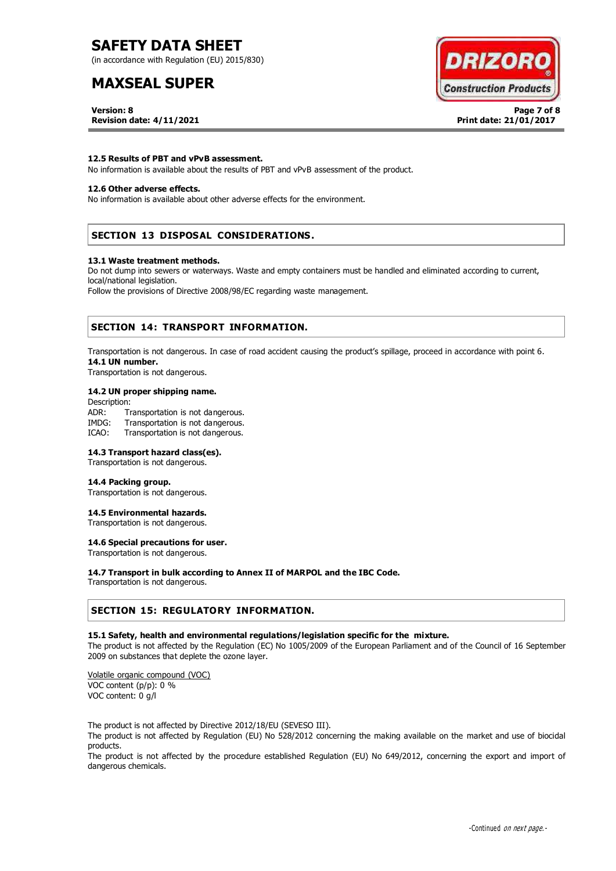(in accordance with Regulation (EU) 2015/830)

# **MAXSEAL SUPER**

**DRIZOR Construction Products** 

**Version: 8 Page 7 of 8** 

**Revision date: 4/11/2021 Print date: 21/01/2017**

# **12.5 Results of PBT and vPvB assessment.**

No information is available about the results of PBT and vPvB assessment of the product.

# **12.6 Other adverse effects.**

No information is available about other adverse effects for the environment.

# **SECTION 13 DISPOSAL CONSIDERATIONS.**

#### **13.1 Waste treatment methods.**

Do not dump into sewers or waterways. Waste and empty containers must be handled and eliminated according to current, local/national legislation.

Follow the provisions of Directive 2008/98/EC regarding waste management.

# **SECTION 14: TRANSPORT INFORMATION.**

Transportation is not dangerous. In case of road accident causing the product's spillage, proceed in accordance with point 6. **14.1 UN number.**

Transportation is not dangerous.

### **14.2 UN proper shipping name.**

Description: ADR: Transportation is not dangerous. IMDG: Transportation is not dangerous. ICAO: Transportation is not dangerous.

## **14.3 Transport hazard class(es).**

Transportation is not dangerous.

# **14.4 Packing group.**

Transportation is not dangerous.

# **14.5 Environmental hazards.**

Transportation is not dangerous.

# **14.6 Special precautions for user.**

Transportation is not dangerous.

### **14.7 Transport in bulk according to Annex II of MARPOL and the IBC Code.**

Transportation is not dangerous.

# **SECTION 15: REGULATORY INFORMATION.**

### **15.1 Safety, health and environmental regulations/legislation specific for the mixture.**

The product is not affected by the Regulation (EC) No 1005/2009 of the European Parliament and of the Council of 16 September 2009 on substances that deplete the ozone layer.

Volatile organic compound (VOC) VOC content (p/p): 0 % VOC content: 0 g/l

The product is not affected by Directive 2012/18/EU (SEVESO III).

The product is not affected by Regulation (EU) No 528/2012 concerning the making available on the market and use of biocidal products.

The product is not affected by the procedure established Regulation (EU) No 649/2012, concerning the export and import of dangerous chemicals.